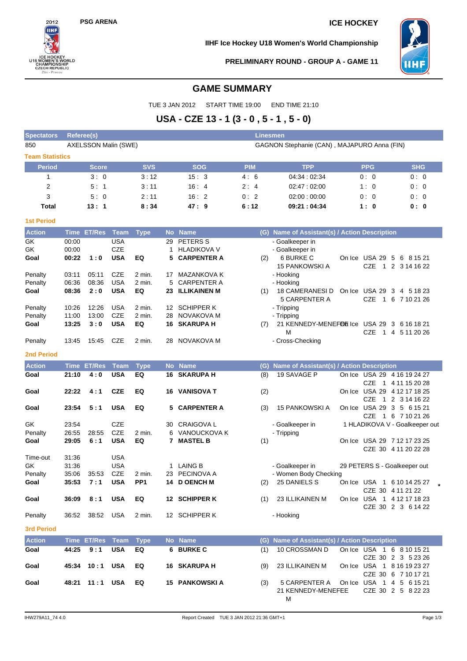# **PSG ARENA ICE HOCKEY**



**IIHF Ice Hockey U18 Women's World Championship**



**PRELIMINARY ROUND - GROUP A - GAME 11**

## **GAME SUMMARY**

TUE 3 JAN 2012 START TIME 19:00 END TIME 21:10

# **USA - CZE 13 - 1 (3 - 0 , 5 - 1 , 5 - 0)**

| <b>Spectators</b>      | Referee(s)     |                      |                          |                  |    |                                   | <b>Linesmen</b> |                                               |            |                                                  |
|------------------------|----------------|----------------------|--------------------------|------------------|----|-----------------------------------|-----------------|-----------------------------------------------|------------|--------------------------------------------------|
| 850                    |                | AXELSSON Malin (SWE) |                          |                  |    |                                   |                 | GAGNON Stephanie (CAN), MAJAPURO Anna (FIN)   |            |                                                  |
| <b>Team Statistics</b> |                |                      |                          |                  |    |                                   |                 |                                               |            |                                                  |
| <b>Period</b>          |                | Score                |                          | <b>SVS</b>       |    | <b>SOG</b>                        | <b>PIM</b>      | <b>TPP</b>                                    | <b>PPG</b> | <b>SHG</b>                                       |
| $\mathbf{1}$           |                | 3:0                  |                          | 3:12             |    | 15:3                              | 4:6             | 04:34:02:34                                   | 0:0        | 0:0                                              |
| 2                      |                | 5:1                  |                          | 3:11             |    | 16:4                              | 2:4             | 02:47:02:00                                   | 1:0        | 0:0                                              |
| 3                      |                | 5:0                  |                          | 2:11             |    | 16:2                              | 0:2             | 02:00:00:00                                   | 0:0        | 0:0                                              |
| Total                  |                | 13:1                 |                          | 8:34             |    | 47:9                              | 6:12            | 09:21:04:34                                   | 1:0        | 0: 0                                             |
| <b>1st Period</b>      |                |                      |                          |                  |    |                                   |                 |                                               |            |                                                  |
| <b>Action</b>          |                | Time ET/Res          | Team                     | <b>Type</b>      |    | No Name                           |                 | (G) Name of Assistant(s) / Action Description |            |                                                  |
| GK                     | 00:00          |                      | <b>USA</b>               |                  |    | 29 PETERS S                       |                 | - Goalkeeper in                               |            |                                                  |
| GK                     | 00:00          |                      | <b>CZE</b>               |                  | 1  | <b>HLADIKOVA V</b>                |                 | - Goalkeeper in                               |            |                                                  |
| Goal                   | 00:22          | 1:0                  | <b>USA</b>               | EQ               | 5  | <b>CARPENTER A</b>                | (2)             | 6 BURKE C                                     |            | On Ice USA 29 5 6 8 15 21                        |
|                        |                |                      |                          |                  |    |                                   |                 | <b>15 PANKOWSKI A</b>                         | <b>CZE</b> | 1 2 3 14 16 22                                   |
| Penalty                | 03:11<br>06:36 | 05:11<br>08:36       | <b>CZE</b><br><b>USA</b> | 2 min.<br>2 min. | 5  | 17 MAZANKOVA K<br>CARPENTER A     |                 | - Hooking                                     |            |                                                  |
| Penalty<br>Goal        | 08:36          | 2:0                  | <b>USA</b>               | EQ               |    | 23 ILLIKAINEN M                   | (1)             | - Hooking<br>18 CAMERANESI D                  |            | On Ice USA 29 3 4 5 18 23                        |
|                        |                |                      |                          |                  |    |                                   |                 | 5 CARPENTER A                                 | <b>CZE</b> | 1 6 7 10 21 26                                   |
| Penalty                | 10:26          | 12:26                | <b>USA</b>               | $2$ min.         |    | 12 SCHIPPER K                     |                 | - Tripping                                    |            |                                                  |
| Penalty                | 11:00          | 13:00                | <b>CZE</b>               | 2 min.           | 28 | NOVAKOVA M                        |                 | - Tripping                                    |            |                                                  |
| Goal                   | 13:25          | 3:0                  | <b>USA</b>               | EQ               |    | <b>16 SKARUPA H</b>               | (7)             | 21 KENNEDY-MENEFOR Ice USA 29 3 6 16 18 21    |            |                                                  |
|                        |                |                      |                          |                  |    |                                   |                 | М                                             | <b>CZE</b> | 1 4 5 11 20 26                                   |
| Penalty                | 13:45          | 15:45                | <b>CZE</b>               | 2 min.           |    | 28 NOVAKOVA M                     |                 | - Cross-Checking                              |            |                                                  |
| <b>2nd Period</b>      |                |                      |                          |                  |    |                                   |                 |                                               |            |                                                  |
| <b>Action</b>          |                | Time ET/Res          | <b>Team</b>              | <b>Type</b>      |    | No Name                           | (G)             | Name of Assistant(s) / Action Description     |            |                                                  |
| Goal                   | 21:10          | 4:0                  | <b>USA</b>               | EQ               | 16 | <b>SKARUPA H</b>                  | (8)             | 19 SAVAGE P                                   | <b>CZE</b> | On Ice USA 29 4 16 19 24 27<br>1 4 11 15 20 28   |
| Goal                   | 22:22          | 4:1                  | <b>CZE</b>               | EQ               |    | 16 VANISOVA T                     | (2)             |                                               |            | On Ice USA 29 4 12 17 18 25                      |
|                        |                |                      |                          |                  |    |                                   |                 |                                               | <b>CZE</b> | 1 2 3 14 16 22                                   |
| Goal                   | 23:54          | 5:1                  | <b>USA</b>               | EQ               |    | 5 CARPENTER A                     | (3)             | <b>15 PANKOWSKI A</b>                         |            | On Ice USA 29 3 5 6 15 21                        |
|                        |                |                      |                          |                  |    |                                   |                 |                                               |            | CZE 1 6 7 10 21 26                               |
| GK                     | 23:54          |                      | CZE<br><b>CZE</b>        |                  | 30 | CRAIGOVA L                        |                 | - Goalkeeper in                               |            | 1 HLADIKOVA V - Goalkeeper out                   |
| Penalty<br>Goal        | 26:55<br>29:05 | 28:55<br>6:1         | <b>USA</b>               | 2 min.<br>EQ     | 6  | VANOUCKOVA K<br><b>7 MASTEL B</b> | (1)             | - Tripping                                    |            | On Ice USA 29 7 12 17 23 25                      |
|                        |                |                      |                          |                  |    |                                   |                 |                                               |            | CZE 30 4 11 20 22 28                             |
| Time-out               | 31:36          |                      | <b>USA</b>               |                  |    |                                   |                 |                                               |            |                                                  |
| GK                     | 31:36          |                      | <b>USA</b>               |                  | 1  | <b>LAING B</b>                    |                 | - Goalkeeper in                               |            | 29 PETERS S - Goalkeeper out                     |
| Penalty                | 35:06          | 35:53                | <b>CZE</b>               | 2 min.           |    | 23 PECINOVA A                     |                 | - Women Body Checking                         |            |                                                  |
| Goal                   | 35:53          | 7:1                  | <b>USA</b>               | PP1              |    | 14 D OENCH M                      | (2)             | 25 DANIELS S                                  |            | On Ice USA 1 6 10 14 25 27                       |
|                        |                |                      |                          |                  |    |                                   |                 |                                               |            | CZE 30 4 11 21 22                                |
| Goal                   | 36:09          | 8:1                  | <b>USA</b>               | EQ               |    | 12 SCHIPPER K                     |                 | (1) 23 ILLIKAINEN M                           |            | On Ice USA 1 4 12 17 18 23<br>CZE 30 2 3 6 14 22 |
| Penalty                | 36:52          | 38:52                | USA                      | 2 min.           |    | 12 SCHIPPER K                     |                 | - Hooking                                     |            |                                                  |
|                        |                |                      |                          |                  |    |                                   |                 |                                               |            |                                                  |
| <b>3rd Period</b>      |                |                      |                          |                  |    |                                   |                 |                                               |            |                                                  |
| <b>Action</b>          |                | Time ET/Res Team     |                          | <b>Type</b>      |    | No Name                           | (G)             | Name of Assistant(s) / Action Description     |            |                                                  |
| Goal                   | 44:25          | 9:1                  | <b>USA</b>               | EQ               |    | 6 BURKE C                         | (1)             | 10 CROSSMAN D                                 |            | On Ice USA 1 6 8 10 15 21                        |
| Goal                   |                | 45:34 10:1 USA       |                          | EQ               |    | 16 SKARUPA H                      | (9)             | 23 ILLIKAINEN M                               |            | CZE 30 2 3 5 23 26<br>On Ice USA 1 8 16 19 23 27 |
|                        |                |                      |                          |                  |    |                                   |                 |                                               |            | CZE 30 6 7 10 17 21                              |
| Goal                   |                | 48:21 11:1 USA       |                          | EQ               |    | <b>15 PANKOWSKI A</b>             | (3)             | 5 CARPENTER A                                 |            | On Ice USA 1 4 5 6 15 21                         |
|                        |                |                      |                          |                  |    |                                   |                 | 21 KENNEDY-MENEFEE                            |            | CZE 30 2 5 8 22 23                               |
|                        |                |                      |                          |                  |    |                                   |                 | м                                             |            |                                                  |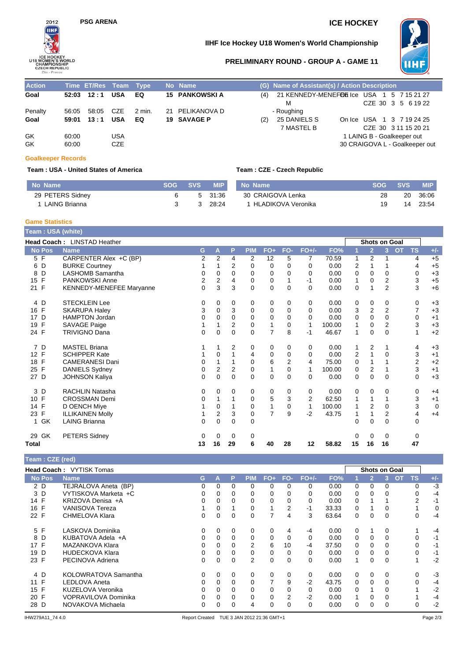

# **PSG ARENA ICE HOCKEY**

### **IIHF Ice Hockey U18 Women's World Championship**



#### **PRELIMINARY ROUND - GROUP A - GAME 11**

| <b>Action</b> |       | Time ET/Res Team Type |            |        | No Name               |     | (G) Name of Assistant(s) / Action Description |                                |                            |  |  |
|---------------|-------|-----------------------|------------|--------|-----------------------|-----|-----------------------------------------------|--------------------------------|----------------------------|--|--|
| Goal          |       | $52:03$ $12:1$        | <b>USA</b> | EQ     | <b>15 PANKOWSKI A</b> | (4) | 21 KENNEDY-MENEFOLS Ice USA 1 5 7 15 21 27    |                                |                            |  |  |
|               |       |                       |            |        |                       |     | м                                             |                                | CZE 30 3 5 6 19 22         |  |  |
| Penalty       | 56:05 | 58:05                 | CZE        | 2 min. | 21 PELIKANOVA D       |     | - Roughing                                    |                                |                            |  |  |
| Goal          | 59:01 | 13:1                  | <b>USA</b> | EQ     | 19 SAVAGE P           | (2) | 25 DANIELS S                                  | On Ice USA 1 3 7 19 24 25      |                            |  |  |
|               |       |                       |            |        |                       |     | 7 MASTEL B                                    |                                | CZE 30 3 11 15 20 21       |  |  |
| GK            | 60:00 |                       | <b>USA</b> |        |                       |     |                                               |                                | 1 LAING B - Goalkeeper out |  |  |
| GK            | 60:00 |                       | CZE        |        |                       |     |                                               | 30 CRAIGOVA L - Goalkeeper out |                            |  |  |

#### **Goalkeeper Records**

#### **Team : USA - United States of America Team : CZE - Czech Republic**

| No Name          | SOG – | <b>SVS</b> | <b>MIP</b> | No Name              | SOG. | <b>SVS</b> | <b>MIP</b> |
|------------------|-------|------------|------------|----------------------|------|------------|------------|
| 29 PETERS Sidney |       |            | 5 31:36    | 30 CRAIGOVA Lenka    | 28   | 20         | 36:06      |
| LAING Brianna    |       |            | 28.24      | 1 HLADIKOVA Veronika |      | 14         | 23:54      |

**Game Statistics**

| Team: USA (white)   |                                 |                |                  |                |             |                |                |                |        |             |                |                |           |                |                |
|---------------------|---------------------------------|----------------|------------------|----------------|-------------|----------------|----------------|----------------|--------|-------------|----------------|----------------|-----------|----------------|----------------|
|                     | Head Coach: LINSTAD Heather     |                |                  |                |             |                |                |                |        |             | Shots on Goal  |                |           |                |                |
| <b>No Pos</b>       | <b>Name</b>                     | G              | A                | P              | <b>PIM</b>  | $FO+$          | FO-            | $FO+/-$        | FO%    |             | $\overline{2}$ | 3              | <b>OT</b> | <b>TS</b>      | $+/-$          |
| 5 F                 | CARPENTER Alex +C (BP)          | $\overline{2}$ | 2                | 4              | 2           | 12             | 5              | 7              | 70.59  | 1           | $\overline{2}$ |                |           | 4              | $+5$           |
| D<br>6              | <b>BURKE Courtney</b>           |                | 1                | 2              | $\Omega$    | 0              | $\Omega$       | $\Omega$       | 0.00   | 2           | 1              |                |           | 4              | $+5$           |
| D<br>8              | <b>LASHOMB Samantha</b>         | 0              | 0                | $\Omega$       | 0           | $\mathbf 0$    | $\Omega$       | 0              | 0.00   | 0           | $\Omega$       | $\Omega$       |           | 0              | $+3$           |
| F<br>15             | <b>PANKOWSKI Anne</b>           | 2              | $\boldsymbol{2}$ | 4              | $\Omega$    | $\mathbf 0$    |                | -1             | 0.00   | 1           | $\Omega$       | 2              |           | 3              | $+5$           |
| 21 F                | <b>KENNEDY-MENEFEE Maryanne</b> | 0              | 3                | 3              | $\Omega$    | $\mathbf 0$    | $\Omega$       | $\Omega$       | 0.00   | $\Omega$    | 1              | $\overline{2}$ |           | 3              | $+6$           |
| 4 D                 | <b>STECKLEIN Lee</b>            | 0              | 0                | 0              | 0           | 0              | $\Omega$       | 0              | 0.00   | 0           | 0              | 0              |           | 0              | $+3$           |
| $\mathsf{F}$<br>16  | <b>SKARUPA Haley</b>            | 3              | $\Omega$         | 3              | $\mathbf 0$ | $\mathbf 0$    | $\Omega$       | $\Omega$       | 0.00   | 3           | $\overline{2}$ | $\overline{2}$ |           | $\overline{7}$ | $+3$           |
| D<br>17             | <b>HAMPTON Jordan</b>           | 0              | 0                | $\Omega$       | $\mathbf 0$ | $\mathbf 0$    | $\Omega$       | $\Omega$       | 0.00   | 0           | $\Omega$       | $\Omega$       |           | $\mathbf 0$    | $+1$           |
| F<br>19             | <b>SAVAGE Paige</b>             |                | 1                | $\overline{2}$ | 0           | $\mathbf{1}$   | 0              | 1              | 100.00 | 1           | $\mathbf 0$    | $\overline{2}$ |           | 3              | $+3$           |
| 24 F                | <b>TRIVIGNO Dana</b>            | $\mathbf{0}$   | $\mathbf 0$      | $\Omega$       | $\Omega$    | $\overline{7}$ | 8              | $-1$           | 46.67  | 1           | $\Omega$       | $\Omega$       |           | 1              | $+2$           |
| D<br>$\overline{7}$ | <b>MASTEL Briana</b>            |                | 1                | 2              | 0           | 0              | $\Omega$       | 0              | 0.00   | 1           | 2              |                |           | 4              | $+3$           |
| F<br>12             | <b>SCHIPPER Kate</b>            |                | 0                |                | 4           | 0              | 0              | 0              | 0.00   | 2           |                | 0              |           | 3              | $+1$           |
| $\mathsf{F}$<br>18  | <b>CAMERANESI Dani</b>          | 0              | 1                | 1              | 0           | 6              | $\overline{2}$ | 4              | 75.00  | 0           | 1              |                |           | $\overline{2}$ | $+2$           |
| F<br>25             | <b>DANIELS Sydney</b>           | 0              | $\overline{2}$   | $\overline{2}$ | 0           | $\mathbf{1}$   | $\mathbf 0$    | 1              | 100.00 | $\mathbf 0$ | $\overline{2}$ |                |           | 3              | $+1$           |
| 27 D                | <b>JOHNSON Kaliya</b>           | $\Omega$       | $\Omega$         | $\Omega$       | $\Omega$    | $\Omega$       | $\Omega$       | $\Omega$       | 0.00   | $\Omega$    | $\overline{0}$ | $\Omega$       |           | $\Omega$       | $+3$           |
| D<br>3              | <b>RACHLIN Natasha</b>          | 0              | 0                | $\Omega$       | 0           | 0              | $\Omega$       | 0              | 0.00   | 0           | $\Omega$       | 0              |           | 0              | $+4$           |
| F<br>10             | <b>CROSSMAN Demi</b>            | 0              | 1                |                | 0           | $\mathbf 5$    | 3              | $\overline{2}$ | 62.50  | 1           | 1              |                |           | 3              | $+1$           |
| $\mathsf{F}$<br>14  | D OENCH Miye                    |                | 0                |                | $\Omega$    | $\mathbf{1}$   | $\Omega$       | 1              | 100.00 | 1           | $\overline{2}$ | $\Omega$       |           | 3              | $\overline{0}$ |
| $\mathsf{F}$<br>23  | <b>ILLIKAINEN Molly</b>         |                | 2                | 3              | 0           | $\overline{7}$ | 9              | $-2$           | 43.75  | 1           | 1              | $\overline{2}$ |           | 4              | $+4$           |
| 1 GK                | <b>LAING Brianna</b>            | 0              | $\Omega$         | $\Omega$       | $\Omega$    |                |                |                |        | 0           | $\Omega$       | $\Omega$       |           | $\mathbf 0$    |                |
| GK<br>29            | <b>PETERS Sidney</b>            | 0              | 0                | 0              | 0           |                |                |                |        | 0           | 0              | $\Omega$       |           | 0              |                |
| Total               |                                 | 13             | 16               | 29             | 6           | 40             | 28             | 12             | 58.82  | 15          | 16             | 16             |           | 47             |                |

### **Team : CZE (red)**

|               | <b>Head Coach: VYTISK Tomas</b> |   |   |   |            |          |                |          |       |   | <b>Shots on Goal</b> |          |           |           |       |
|---------------|---------------------------------|---|---|---|------------|----------|----------------|----------|-------|---|----------------------|----------|-----------|-----------|-------|
| <b>No Pos</b> | <b>Name</b>                     | G | А | P | <b>PIM</b> | $FO+$    | FO-            | $FO+/-$  | FO%   |   | (2)                  | 3.       | <b>OT</b> | <b>TS</b> | $+/-$ |
| 2 D           | TEJRALOVA Aneta (BP)            | 0 | 0 | 0 | 0          | $\Omega$ | 0              | 0        | 0.00  | 0 | 0                    | 0        |           | $\Omega$  | $-3$  |
| 3 D           | VYTISKOVA Marketa +C            | 0 | 0 |   | 0          | 0        |                | 0        | 0.00  | 0 | $\Omega$             |          |           |           | $-4$  |
| 14 F          | KRIZOVA Denisa +A               | 0 | 0 | 0 | 0          | $\Omega$ | 0              | 0        | 0.00  | 0 |                      |          |           | 2         | -1    |
| 16 F          | VANISOVA Tereza                 |   | 0 |   | 0          |          | 2              | -1       | 33.33 | 0 |                      | 0        |           |           | 0     |
| 22 F          | CHMELOVA Klara                  | 0 | 0 | 0 | 0          | 7        | 4              | 3        | 63.64 | 0 | 0                    | $\Omega$ |           | 0         | $-4$  |
| 5 F           | LASKOVA Dominika                | 0 | 0 | 0 | 0          | 0        | 4              | -4       | 0.00  | 0 |                      | 0        |           |           | $-4$  |
| 8 D           | KUBATOVA Adela +A               | 0 | 0 | 0 | 0          | 0        | 0              | $\Omega$ | 0.00  | 0 | 0                    | 0        |           | 0         | -1    |
| 17 F          | MAZANKOVA Klara                 | 0 | 0 | 0 | 2          | 6        | 10             | $-4$     | 37.50 | 0 | $\Omega$             | 0        |           | $\Omega$  | -1    |
| D<br>19       | <b>HUDECKOVA Klara</b>          | 0 | 0 | 0 | 0          | 0        | 0              | $\Omega$ | 0.00  | 0 | 0                    | 0        |           | 0         | -1    |
| 23 F          | PECINOVA Adriena                | 0 | 0 | 0 | 2          | 0        | $\Omega$       | $\Omega$ | 0.00  | 1 | 0                    | $\Omega$ |           |           | $-2$  |
| 4 D           | KOLOWRATOVA Samantha            | 0 | 0 | 0 | 0          | 0        | $\Omega$       | $\Omega$ | 0.00  | 0 | 0                    | $\Omega$ |           | 0         | -3    |
| 11 F          | LEDLOVA Aneta                   | 0 | 0 | 0 | 0          | 7        | 9              | $-2$     | 43.75 | 0 | 0                    | $\Omega$ |           | $\Omega$  | -4    |
| F<br>15       | <b>KUZELOVA Veronika</b>        | 0 | 0 | 0 | 0          | $\Omega$ | 0              | $\Omega$ | 0.00  | 0 |                      | 0        |           |           | $-2$  |
| F<br>20       | VOPRAVILOVA Dominika            | 0 | 0 | 0 | 0          | 0        | $\overline{2}$ | $-2$     | 0.00  | 1 | $\Omega$             |          |           |           | $-4$  |
| D<br>28       | NOVAKOVA Michaela               | 0 | 0 | 0 | 4          | 0        |                | 0        | 0.00  | 0 |                      | 0        |           |           | $-2$  |